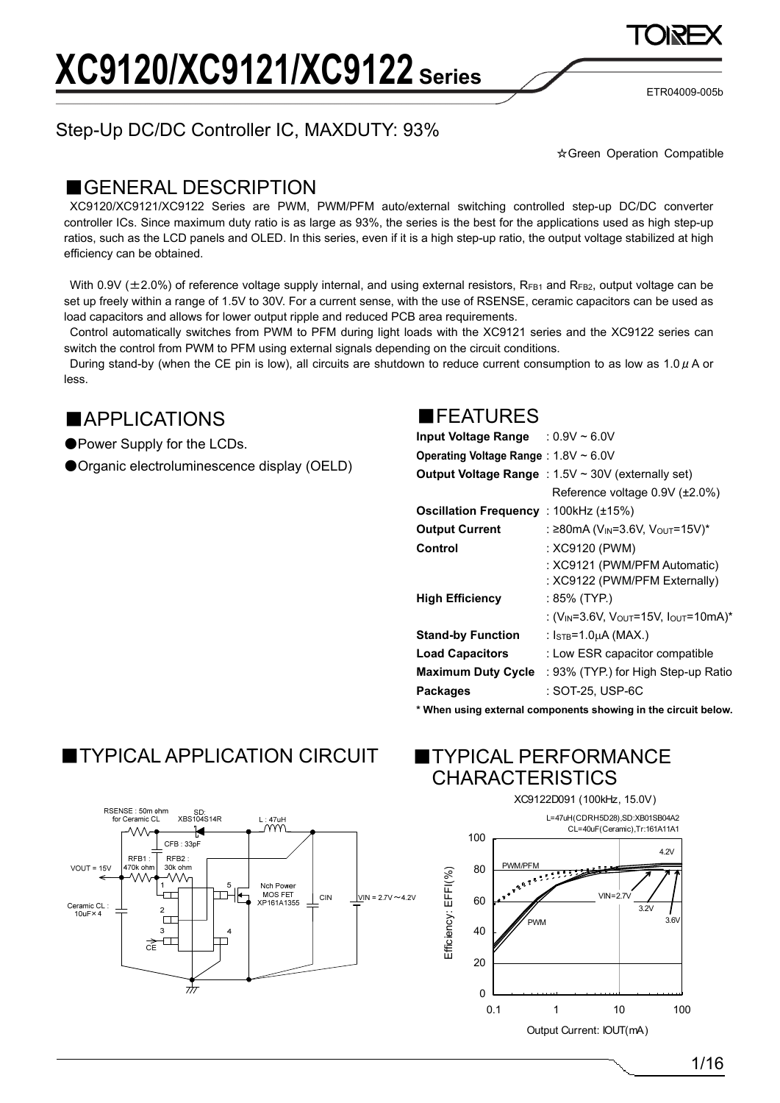ETR04009-005b

## Step-Up DC/DC Controller IC, MAXDUTY: 93%

☆Green Operation Compatible

### ■GENERAL DESCRIPTION

XC9120/XC9121/XC9122 Series are PWM, PWM/PFM auto/external switching controlled step-up DC/DC converter controller ICs. Since maximum duty ratio is as large as 93%, the series is the best for the applications used as high step-up ratios, such as the LCD panels and OLED. In this series, even if it is a high step-up ratio, the output voltage stabilized at high efficiency can be obtained.

With 0.9V ( $\pm$ 2.0%) of reference voltage supply internal, and using external resistors, R<sub>FB1</sub> and R<sub>FB2</sub>, output voltage can be set up freely within a range of 1.5V to 30V. For a current sense, with the use of RSENSE, ceramic capacitors can be used as load capacitors and allows for lower output ripple and reduced PCB area requirements.

Control automatically switches from PWM to PFM during light loads with the XC9121 series and the XC9122 series can switch the control from PWM to PFM using external signals depending on the circuit conditions.

During stand-by (when the CE pin is low), all circuits are shutdown to reduce current consumption to as low as  $1.0 \mu$  A or less.

### ■APPLICATIONS

●Power Supply for the LCDs.

●Organic electroluminescence display (OELD)

### ■FEATURES

| Input Voltage Range : $0.9V \sim 6.0V$ |                                                                           |
|----------------------------------------|---------------------------------------------------------------------------|
| Operating Voltage Range: 1.8V ~ 6.0V   |                                                                           |
|                                        | <b>Output Voltage Range</b> : $1.5V \sim 30V$ (externally set)            |
|                                        | Reference voltage 0.9V (±2.0%)                                            |
| Oscillation Frequency: 100kHz (±15%)   |                                                                           |
| <b>Output Current</b>                  | : ≥80mA (V <sub>IN</sub> =3.6V, V <sub>OUT</sub> =15V)*                   |
| Control                                | : XC9120 (PWM)                                                            |
|                                        | : XC9121 (PWM/PFM Automatic)                                              |
|                                        | : XC9122 (PWM/PFM Externally)                                             |
| <b>High Efficiency</b>                 | : 85% (TYP.)                                                              |
|                                        | : (V <sub>IN</sub> =3.6V, V <sub>OUT</sub> =15V, I <sub>OUT</sub> =10mA)* |
| <b>Stand-by Function</b>               | : Isτв=1.0μA (MAX.)                                                       |
| <b>Load Capacitors</b>                 | : Low ESR capacitor compatible                                            |
| <b>Maximum Duty Cycle</b>              | : 93% (TYP.) for High Step-up Ratio                                       |
| Packages                               | : SOT-25. USP-6C                                                          |
|                                        |                                                                           |

**\* When using external components showing in the circuit below.** 

# ■TYPICAL APPLICATION CIRCUIT ■TYPICAL PERFORMANCE





0.1 1 10 100 Output Current: IOUT(mA)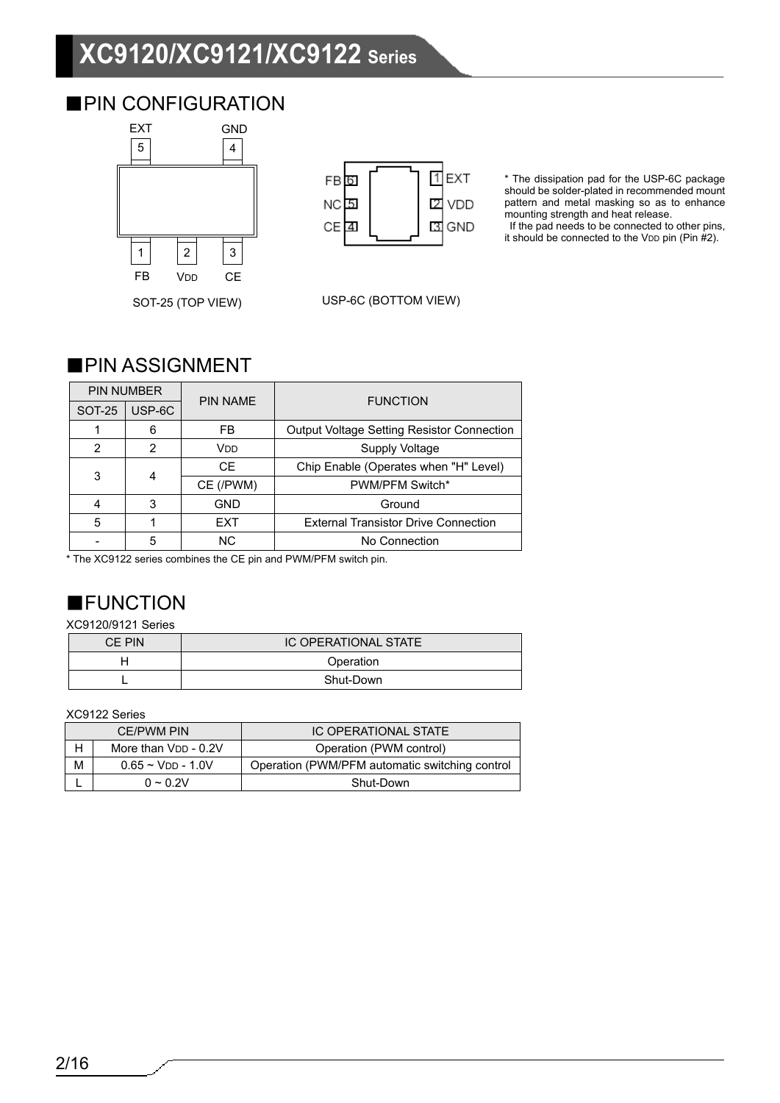# **XC9120/XC9121/XC9122 Series**

### ■PIN CONFIGURATION



| FB 6            | EXT          |
|-----------------|--------------|
| NC 5            | <b>Z</b> VDD |
| CE <sub>4</sub> | 3 GND        |

USP-6C (BOTTOM VIEW)

\* The dissipation pad for the USP-6C package should be solder-plated in recommended mount pattern and metal masking so as to enhance mounting strength and heat release.

 If the pad needs to be connected to other pins, it should be connected to the VDD pin (Pin  $\#2$ ).

### ■PIN ASSIGNMENT

| <b>PIN NUMBER</b> |               | <b>PIN NAME</b> | <b>FUNCTION</b>                                   |  |
|-------------------|---------------|-----------------|---------------------------------------------------|--|
| <b>SOT-25</b>     | USP-6C        |                 |                                                   |  |
|                   | 6             | FB              | <b>Output Voltage Setting Resistor Connection</b> |  |
| $\mathfrak{p}$    | $\mathcal{P}$ | V <sub>DD</sub> | <b>Supply Voltage</b>                             |  |
| 3                 |               | СE              | Chip Enable (Operates when "H" Level)             |  |
|                   | 4             | CE (/PWM)       | PWM/PFM Switch*                                   |  |
| 4                 | 3             | <b>GND</b>      | Ground                                            |  |
| 5                 |               | <b>EXT</b>      | <b>External Transistor Drive Connection</b>       |  |
|                   | 5             | N <sub>C</sub>  | No Connection                                     |  |

\* The XC9122 series combines the CE pin and PWM/PFM switch pin.

# ■FUNCTION

### XC9120/9121 Series

| CE PIN | <b>IC OPERATIONAL STATE</b> |
|--------|-----------------------------|
|        | Operation                   |
|        | Shut-Down                   |

XC9122 Series

| <b>CE/PWM PIN</b> |                        | IC OPERATIONAL STATE                           |
|-------------------|------------------------|------------------------------------------------|
| н                 | More than VDD - 0.2V   | Operation (PWM control)                        |
| м                 | $0.65 \sim$ VDD - 1.0V | Operation (PWM/PFM automatic switching control |
|                   | $0 \sim 0.2V$          | Shut-Down                                      |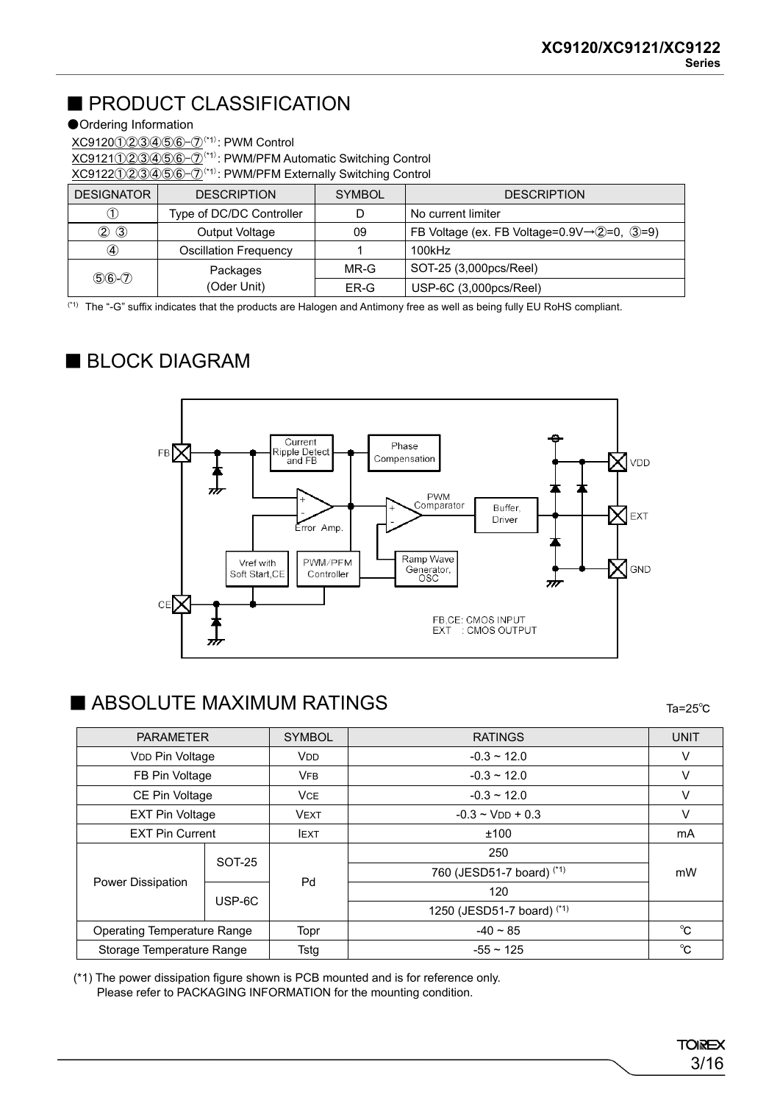## ■ PRODUCT CLASSIFICATION

### ●Ordering Information

XC9120①②③④⑤⑥-⑦(\*1) : PWM Control XC9121①②③④⑤⑥-⑦(\*1) : PWM/PFM Automatic Switching Control XC9122①②③④⑤⑥-⑦(\*1) : PWM/PFM Externally Switching Control

| <b>DESIGNATOR</b> | <b>DESCRIPTION</b>           | <b>SYMBOL</b> | <b>DESCRIPTION</b>                                             |  |  |
|-------------------|------------------------------|---------------|----------------------------------------------------------------|--|--|
|                   | Type of DC/DC Controller     |               | No current limiter                                             |  |  |
| $\circled{2}$     | Output Voltage               | 09            | FB Voltage (ex. FB Voltage= $0.9V \rightarrow Q=0$ , $(3=9)$ ) |  |  |
| $\circledA$       | <b>Oscillation Frequency</b> |               | 100kHz                                                         |  |  |
|                   | Packages                     | MR-G          | SOT-25 (3,000pcs/Reel)                                         |  |  |
| $56 - 7$          | (Oder Unit)                  | ER-G          | USP-6C (3,000pcs/Reel)                                         |  |  |

(\*1) The "-G" suffix indicates that the products are Halogen and Antimony free as well as being fully EU RoHS compliant.

### ■ BLOCK DIAGRAM



### ■ ABSOLUTE MAXIMUM RATINGS

Ta=25℃

| <b>PARAMETER</b>                   |                        | <b>SYMBOL</b>   | <b>RATINGS</b>                    | <b>UNIT</b> |  |
|------------------------------------|------------------------|-----------------|-----------------------------------|-------------|--|
| VDD Pin Voltage                    |                        | V <sub>DD</sub> | $-0.3 \sim 12.0$                  | v           |  |
| FB Pin Voltage                     |                        | <b>VFB</b>      | $-0.3 \sim 12.0$                  | v           |  |
| CE Pin Voltage                     |                        | <b>VCE</b>      | $-0.3 \sim 12.0$                  | V           |  |
|                                    | <b>EXT Pin Voltage</b> |                 | $-0.3 \sim$ V <sub>DD</sub> + 0.3 | V           |  |
| <b>EXT Pin Current</b>             |                        | <b>IEXT</b>     | ±100                              | mA          |  |
|                                    | <b>SOT-25</b>          | Pd              | 250                               |             |  |
|                                    |                        |                 | 760 (JESD51-7 board) (*1)         | mW          |  |
| <b>Power Dissipation</b>           | USP-6C                 |                 | 120                               |             |  |
|                                    |                        |                 | 1250 (JESD51-7 board) (*1)        |             |  |
| <b>Operating Temperature Range</b> |                        | Topr            | $-40 \sim 85$                     | $^{\circ}C$ |  |
| Storage Temperature Range          |                        | Tstg            | $-55 \sim 125$                    | °C          |  |

(\*1) The power dissipation figure shown is PCB mounted and is for reference only. Please refer to PACKAGING INFORMATION for the mounting condition.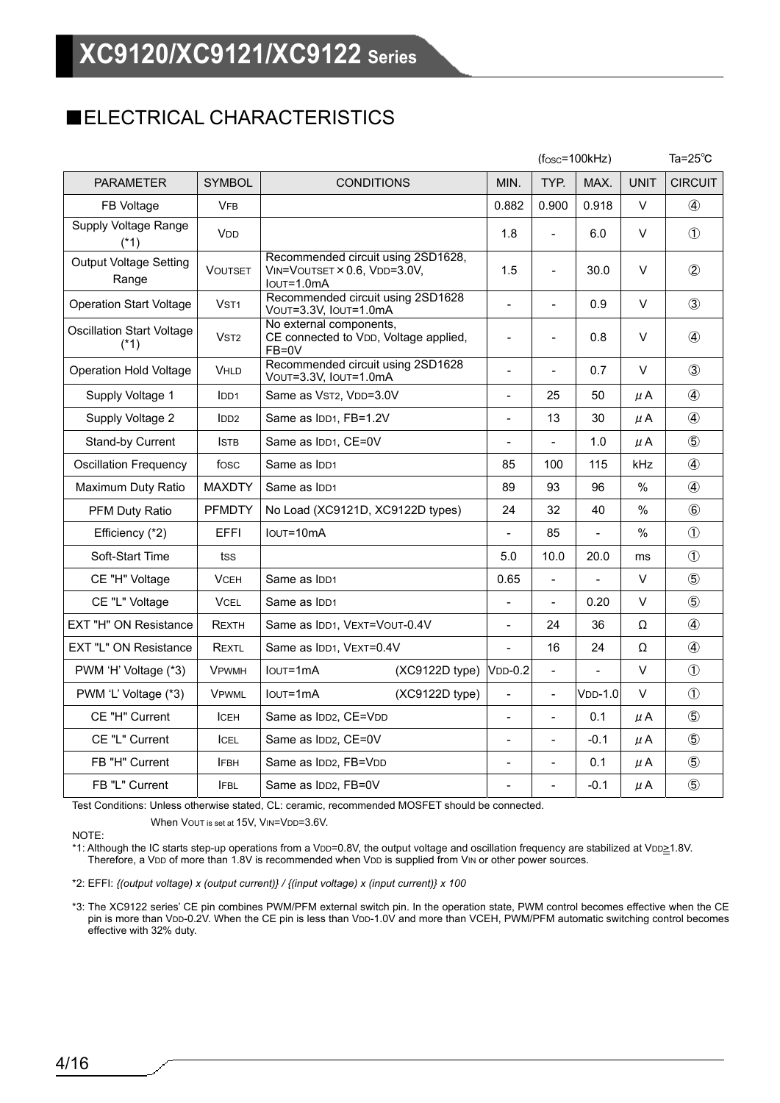### ■ELECTRICAL CHARACTERISTICS

|                                            |                       |                                                                                  |                         |                              | $(fosc=100kHz)$          |                |             | Ta= $25^{\circ}$ C |
|--------------------------------------------|-----------------------|----------------------------------------------------------------------------------|-------------------------|------------------------------|--------------------------|----------------|-------------|--------------------|
| <b>PARAMETER</b>                           | <b>SYMBOL</b>         | <b>CONDITIONS</b>                                                                |                         | MIN.                         | TYP.                     | MAX.           | <b>UNIT</b> | <b>CIRCUIT</b>     |
| FB Voltage                                 | <b>VFB</b>            |                                                                                  |                         | 0.882                        | 0.900                    | 0.918          | $\vee$      | $\circled{4}$      |
| Supply Voltage Range<br>$(*1)$             | <b>V<sub>DD</sub></b> |                                                                                  |                         | 1.8                          | $\overline{a}$           | 6.0            | V           | $\circled{1}$      |
| <b>Output Voltage Setting</b><br>Range     | <b>VOUTSET</b>        | Recommended circuit using 2SD1628,<br>VIN=VOUTSET × 0.6, VDD=3.0V,<br>IOUT=1.0mA |                         | 1.5                          |                          | 30.0           | V           | $\circled{2}$      |
| <b>Operation Start Voltage</b>             | V <sub>ST1</sub>      | Recommended circuit using 2SD1628<br>VOUT=3.3V, IOUT=1.0mA                       |                         | $\overline{a}$               | $\overline{a}$           | 0.9            | $\vee$      | $\circled{3}$      |
| <b>Oscillation Start Voltage</b><br>$(*1)$ | V <sub>ST2</sub>      | No external components,<br>CE connected to VDD, Voltage applied,<br>FB=0V        |                         | $\overline{\phantom{0}}$     | $\overline{a}$           | 0.8            | V           | $\circled{4}$      |
| <b>Operation Hold Voltage</b>              | <b>VHLD</b>           | Recommended circuit using 2SD1628<br>VOUT=3.3V, IOUT=1.0mA                       |                         | $\overline{\phantom{0}}$     | $\overline{\phantom{0}}$ | 0.7            | V           | $\circled{3}$      |
| Supply Voltage 1                           | IDD <sub>1</sub>      | Same as VST2, VDD=3.0V                                                           |                         | $\frac{1}{2}$                | 25                       | 50             | μA          | $\circled{4}$      |
| Supply Voltage 2                           | IDD <sub>2</sub>      | Same as IDD1, FB=1.2V                                                            |                         |                              | 13                       | 30             | μA          | 4                  |
| Stand-by Current                           | <b>ISTB</b>           | Same as IDD1, CE=0V                                                              |                         |                              | $\blacksquare$           | 1.0            | μA          | $\circledS$        |
| <b>Oscillation Frequency</b>               | fosc                  | Same as IDD1                                                                     |                         | 85                           | 100                      | 115            | kHz         | 4                  |
| Maximum Duty Ratio                         | <b>MAXDTY</b>         | Same as IDD1                                                                     |                         | 89                           | 93                       | 96             | $\%$        | $\circled{4}$      |
| PFM Duty Ratio                             | <b>PFMDTY</b>         | No Load (XC9121D, XC9122D types)                                                 |                         | 24                           | 32                       | 40             | $\%$        | $\circledast$      |
| Efficiency (*2)                            | EFFI                  | IOUT=10mA                                                                        |                         | $\overline{\phantom{a}}$     | 85                       | $\blacksquare$ | $\%$        | $\circled{1}$      |
| Soft-Start Time                            | tss                   |                                                                                  |                         | 5.0                          | 10.0                     | 20.0           | ms          | $\circled{1}$      |
| CE "H" Voltage                             | <b>VCEH</b>           | Same as IDD1                                                                     |                         | 0.65                         | $\overline{a}$           |                | $\vee$      | $\circledS$        |
| CE "L" Voltage                             | <b>VCEL</b>           | Same as IDD1                                                                     |                         | $\overline{a}$               | $\blacksquare$           | 0.20           | V           | $\circledS$        |
| <b>EXT "H" ON Resistance</b>               | <b>REXTH</b>          | Same as IDD1, VEXT=VOUT-0.4V                                                     |                         | $\overline{a}$               | 24                       | 36             | Ω           | $\circled{4}$      |
| EXT "L" ON Resistance                      | REXTL                 |                                                                                  | Same as IDD1, VEXT=0.4V |                              | 16                       | 24             | Ω           | 4                  |
| PWM 'H' Voltage (*3)                       | <b>VPWMH</b>          | $I$ <sub>OUT</sub> $=$ 1m $A$<br>$(XC9122D$ type)                                |                         | <b>VDD-0.2</b>               | $\blacksquare$           | $\blacksquare$ | V           | $\circled{1}$      |
| PWM 'L' Voltage (*3)                       | <b>VPWML</b>          | $I$ <sub>OUT</sub> $=$ 1m $A$                                                    | $(XC9122D$ type)        | $\qquad \qquad \blacksquare$ | $\frac{1}{2}$            | $VDD-1.0$      | $\vee$      | $\circled{1}$      |
| CE "H" Current                             | ICEH                  | Same as IDD2, CE=VDD                                                             |                         |                              |                          | 0.1            | μA          | $\circledS$        |
| CE "L" Current                             | <b>ICEL</b>           | Same as IDD2, CE=0V                                                              |                         | $\frac{1}{2}$                | $\frac{1}{2}$            | $-0.1$         | $\mu$ A     | $\circledS$        |
| FB "H" Current                             | <b>IFBH</b>           | Same as IDD2, FB=VDD                                                             |                         |                              | $\overline{\phantom{a}}$ | 0.1            | μA          | $\circledS$        |
| FB "L" Current                             | <b>IFBL</b>           | Same as IDD2, FB=0V                                                              |                         |                              |                          | $-0.1$         | μA          | $\circledS$        |

Test Conditions: Unless otherwise stated, CL: ceramic, recommended MOSFET should be connected.

When VOUT is set at 15V, VIN=VDD=3.6V.

NOTE:

\*1: Although the IC starts step-up operations from a VDD=0.8V, the output voltage and oscillation frequency are stabilized at VDD>1.8V. Therefore, a VDD of more than 1.8V is recommended when VDD is supplied from VIN or other power sources.

\*2: EFFI: *{(output voltage) x (output current)} / {(input voltage) x (input current)} x 100*

\*3: The XC9122 series' CE pin combines PWM/PFM external switch pin. In the operation state, PWM control becomes effective when the CE pin is more than VDD-0.2V. When the CE pin is less than VDD-1.0V and more than VCEH, PWM/PFM automatic switching control becomes effective with 32% duty.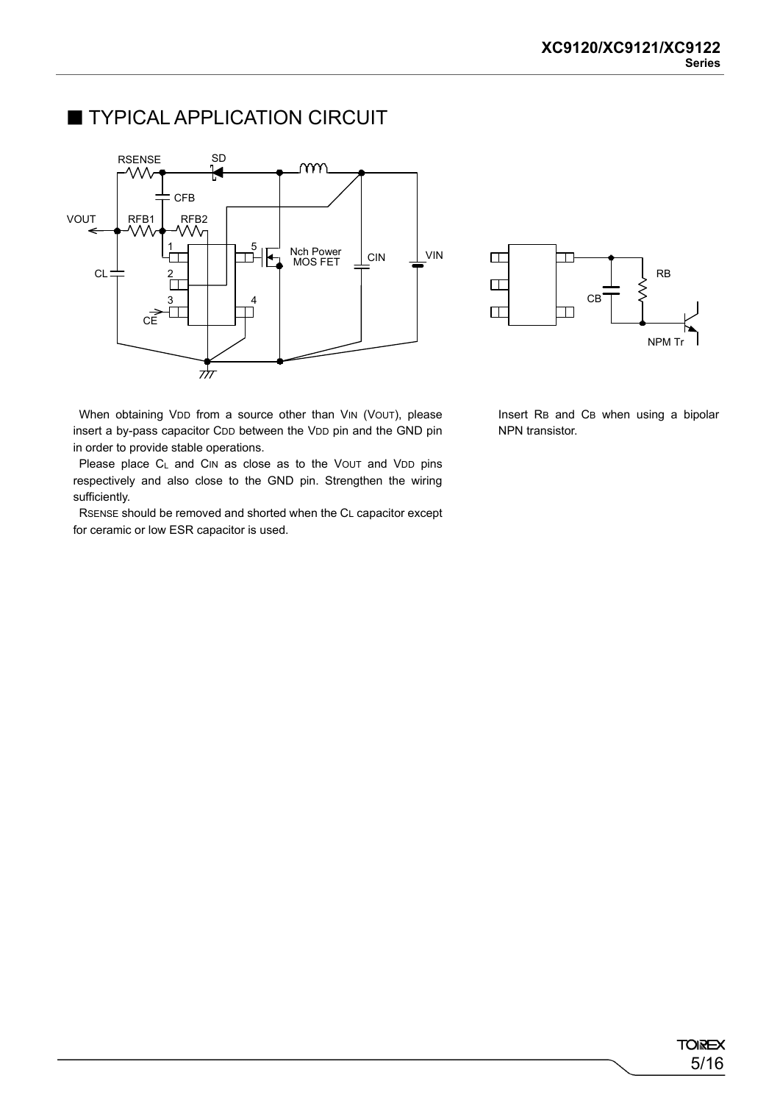### **TYPICAL APPLICATION CIRCUIT**





When obtaining VDD from a source other than VIN (VOUT), please insert a by-pass capacitor CDD between the VDD pin and the GND pin in order to provide stable operations.

Please place C<sub>L</sub> and CIN as close as to the VOUT and VDD pins respectively and also close to the GND pin. Strengthen the wiring sufficiently.

RSENSE should be removed and shorted when the CL capacitor except for ceramic or low ESR capacitor is used.

Insert RB and CB when using a bipolar NPN transistor.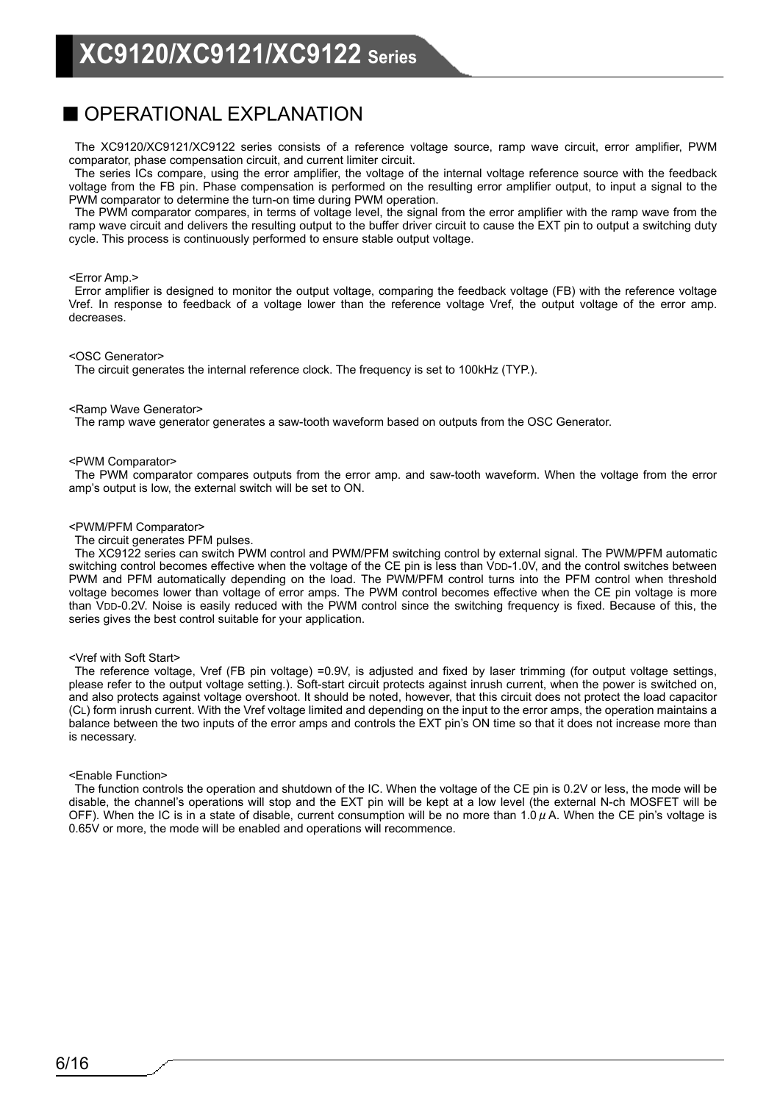### ■ OPERATIONAL EXPLANATION

The XC9120/XC9121/XC9122 series consists of a reference voltage source, ramp wave circuit, error amplifier, PWM comparator, phase compensation circuit, and current limiter circuit.

The series ICs compare, using the error amplifier, the voltage of the internal voltage reference source with the feedback voltage from the FB pin. Phase compensation is performed on the resulting error amplifier output, to input a signal to the PWM comparator to determine the turn-on time during PWM operation.

The PWM comparator compares, in terms of voltage level, the signal from the error amplifier with the ramp wave from the ramp wave circuit and delivers the resulting output to the buffer driver circuit to cause the EXT pin to output a switching duty cycle. This process is continuously performed to ensure stable output voltage.

#### <Error Amp.>

Error amplifier is designed to monitor the output voltage, comparing the feedback voltage (FB) with the reference voltage Vref. In response to feedback of a voltage lower than the reference voltage Vref, the output voltage of the error amp. decreases.

#### <OSC Generator>

The circuit generates the internal reference clock. The frequency is set to 100kHz (TYP.).

#### <Ramp Wave Generator>

The ramp wave generator generates a saw-tooth waveform based on outputs from the OSC Generator.

#### <PWM Comparator>

The PWM comparator compares outputs from the error amp. and saw-tooth waveform. When the voltage from the error amp's output is low, the external switch will be set to ON.

#### <PWM/PFM Comparator>

The circuit generates PFM pulses.

The XC9122 series can switch PWM control and PWM/PFM switching control by external signal. The PWM/PFM automatic switching control becomes effective when the voltage of the CE pin is less than VDD-1.0V, and the control switches between PWM and PFM automatically depending on the load. The PWM/PFM control turns into the PFM control when threshold voltage becomes lower than voltage of error amps. The PWM control becomes effective when the CE pin voltage is more than VDD-0.2V. Noise is easily reduced with the PWM control since the switching frequency is fixed. Because of this, the series gives the best control suitable for your application.

#### <Vref with Soft Start>

The reference voltage, Vref (FB pin voltage) =0.9V, is adjusted and fixed by laser trimming (for output voltage settings, please refer to the output voltage setting.). Soft-start circuit protects against inrush current, when the power is switched on, and also protects against voltage overshoot. It should be noted, however, that this circuit does not protect the load capacitor (CL) form inrush current. With the Vref voltage limited and depending on the input to the error amps, the operation maintains a balance between the two inputs of the error amps and controls the EXT pin's ON time so that it does not increase more than is necessary.

#### <Enable Function>

The function controls the operation and shutdown of the IC. When the voltage of the CE pin is 0.2V or less, the mode will be disable, the channel's operations will stop and the EXT pin will be kept at a low level (the external N-ch MOSFET will be OFF). When the IC is in a state of disable, current consumption will be no more than 1.0  $\mu$  A. When the CE pin's voltage is 0.65V or more, the mode will be enabled and operations will recommence.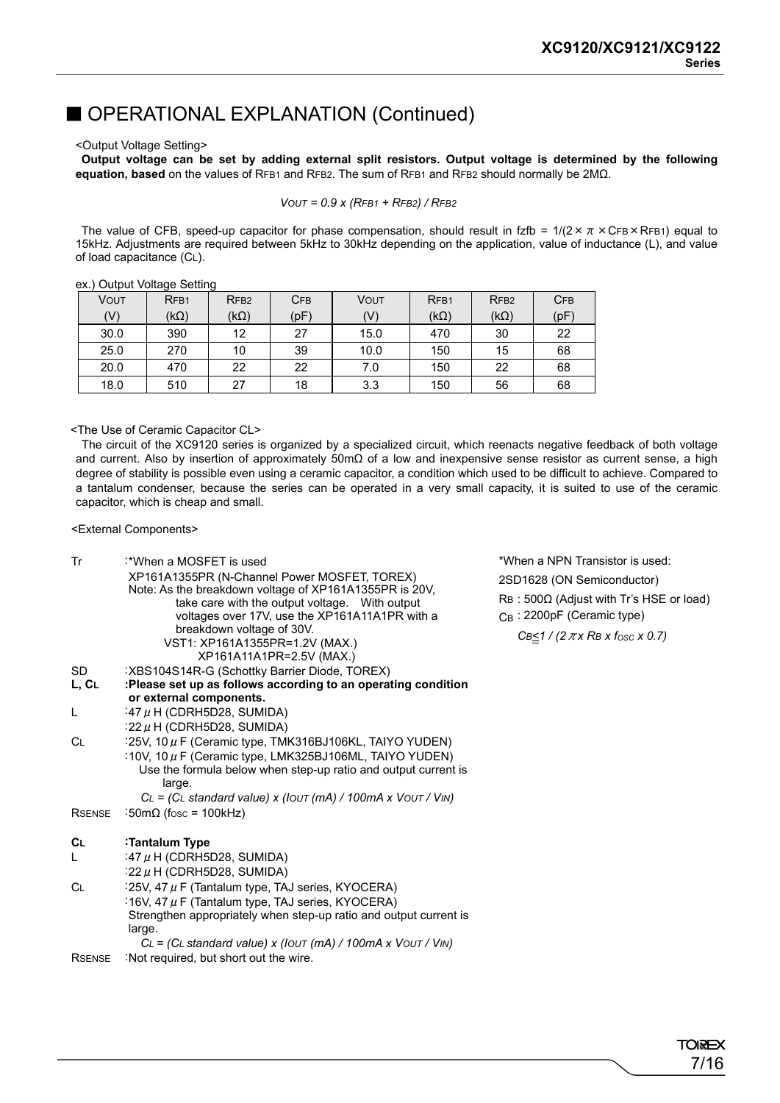### ■ OPERATIONAL EXPLANATION (Continued)

#### <Output Voltage Setting>

**Output voltage can be set by adding external split resistors. Output voltage is determined by the following equation, based** on the values of RFB1 and RFB2. The sum of RFB1 and RFB2 should normally be 2MΩ.

$$
VOUT = 0.9 \times (RFB1 + RFB2) / RFB2
$$

The value of CFB, speed-up capacitor for phase compensation, should result in fzfb =  $1/(2 \times \pi \times CFB \times RFB1)$  equal to 15kHz. Adjustments are required between 5kHz to 30kHz depending on the application, value of inductance (L), and value of load capacitance (CL).

| ---- | $S = \frac{1}{2}$ |                  |            |      |                  |                  |            |
|------|-------------------|------------------|------------|------|------------------|------------------|------------|
| Vout | RF <sub>B1</sub>  | RF <sub>B2</sub> | <b>CFB</b> | Vout | RF <sub>B1</sub> | RF <sub>B2</sub> | <b>CFB</b> |
| (V)  | $(k\Omega)$       | $(k\Omega)$      | (pF)       | (V)  | (k $\Omega$ )    | $(k\Omega)$      | (pF)       |
| 30.0 | 390               | 12               | 27         | 15.0 | 470              | 30               | 22         |
| 25.0 | 270               | 10               | 39         | 10.0 | 150              | 15               | 68         |
| 20.0 | 470               | 22               | 22         | 7.0  | 150              | 22               | 68         |
| 18.0 | 510               | 27               | 18         | 3.3  | 150              | 56               | 68         |

ex.) Output Voltage Setting

<The Use of Ceramic Capacitor CL>

The circuit of the XC9120 series is organized by a specialized circuit, which reenacts negative feedback of both voltage and current. Also by insertion of approximately 50mΩ of a low and inexpensive sense resistor as current sense, a high degree of stability is possible even using a ceramic capacitor, a condition which used to be difficult to achieve. Compared to a tantalum condenser, because the series can be operated in a very small capacity, it is suited to use of the ceramic capacitor, which is cheap and small.

<External Components>

| Tr                 | :*When a MOSFET is used<br>XP161A1355PR (N-Channel Power MOSFET, TOREX)<br>Note: As the breakdown voltage of XP161A1355PR is 20V,<br>take care with the output voltage. With output<br>voltages over 17V, use the XP161A11A1PR with a<br>breakdown voltage of 30V.<br>VST1: XP161A1355PR=1.2V (MAX.)<br>XP161A11A1PR=2.5V (MAX.) | *When a NPN Transistor is used:<br>2SD1628 (ON Semiconductor)<br>$RB: 500\Omega$ (Adjust with Tr's HSE or load)<br>$C_B$ : 2200pF (Ceramic type)<br>$CB \leq 1$ / (2 $\pi x$ RB x fosc x 0.7) |
|--------------------|----------------------------------------------------------------------------------------------------------------------------------------------------------------------------------------------------------------------------------------------------------------------------------------------------------------------------------|-----------------------------------------------------------------------------------------------------------------------------------------------------------------------------------------------|
| <b>SD</b><br>L, CL | :XBS104S14R-G (Schottky Barrier Diode, TOREX)<br>:Please set up as follows according to an operating condition                                                                                                                                                                                                                   |                                                                                                                                                                                               |
|                    | or external components.                                                                                                                                                                                                                                                                                                          |                                                                                                                                                                                               |
| L                  | :47 $\mu$ H (CDRH5D28, SUMIDA)                                                                                                                                                                                                                                                                                                   |                                                                                                                                                                                               |
|                    | :22 $\mu$ H (CDRH5D28, SUMIDA)                                                                                                                                                                                                                                                                                                   |                                                                                                                                                                                               |
| <b>CL</b>          | :25V, 10 µ F (Ceramic type, TMK316BJ106KL, TAIYO YUDEN)                                                                                                                                                                                                                                                                          |                                                                                                                                                                                               |
|                    | :10V, 10 $\mu$ F (Ceramic type, LMK325BJ106ML, TAIYO YUDEN)<br>Use the formula below when step-up ratio and output current is<br>large.                                                                                                                                                                                          |                                                                                                                                                                                               |
|                    | $CL = (CL standard value) \times (IOUT (mA) / 100mA \times VOUT / VIN))$                                                                                                                                                                                                                                                         |                                                                                                                                                                                               |
| <b>RSENSE</b>      | :50m $\Omega$ (fosc = 100kHz)                                                                                                                                                                                                                                                                                                    |                                                                                                                                                                                               |
| CL                 | :Tantalum Type                                                                                                                                                                                                                                                                                                                   |                                                                                                                                                                                               |
| L                  | :47 $\mu$ H (CDRH5D28, SUMIDA)                                                                                                                                                                                                                                                                                                   |                                                                                                                                                                                               |
|                    | :22 $\mu$ H (CDRH5D28, SUMIDA)                                                                                                                                                                                                                                                                                                   |                                                                                                                                                                                               |
| <b>CL</b>          | :25V, 47 $\mu$ F (Tantalum type, TAJ series, KYOCERA)                                                                                                                                                                                                                                                                            |                                                                                                                                                                                               |
|                    | :16V, 47 $\mu$ F (Tantalum type, TAJ series, KYOCERA)                                                                                                                                                                                                                                                                            |                                                                                                                                                                                               |
|                    | Strengthen appropriately when step-up ratio and output current is                                                                                                                                                                                                                                                                |                                                                                                                                                                                               |
|                    | large.                                                                                                                                                                                                                                                                                                                           |                                                                                                                                                                                               |
|                    | $CL = (CL standard value) \times (IOUT (mA) / 100mA \times VOUT / VIN))$                                                                                                                                                                                                                                                         |                                                                                                                                                                                               |
| <b>RSENSE</b>      | : Not required, but short out the wire.                                                                                                                                                                                                                                                                                          |                                                                                                                                                                                               |
|                    |                                                                                                                                                                                                                                                                                                                                  |                                                                                                                                                                                               |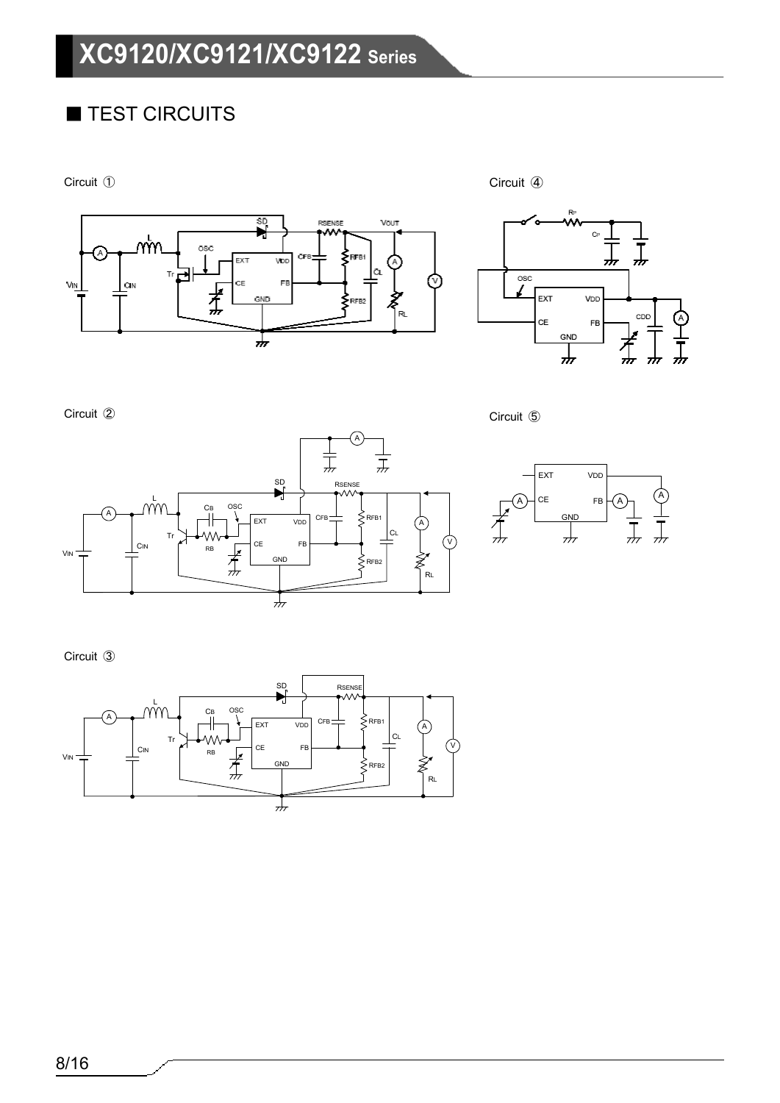# ■ TEST CIRCUITS

Circuit ①

Circuit ④











Circuit ③

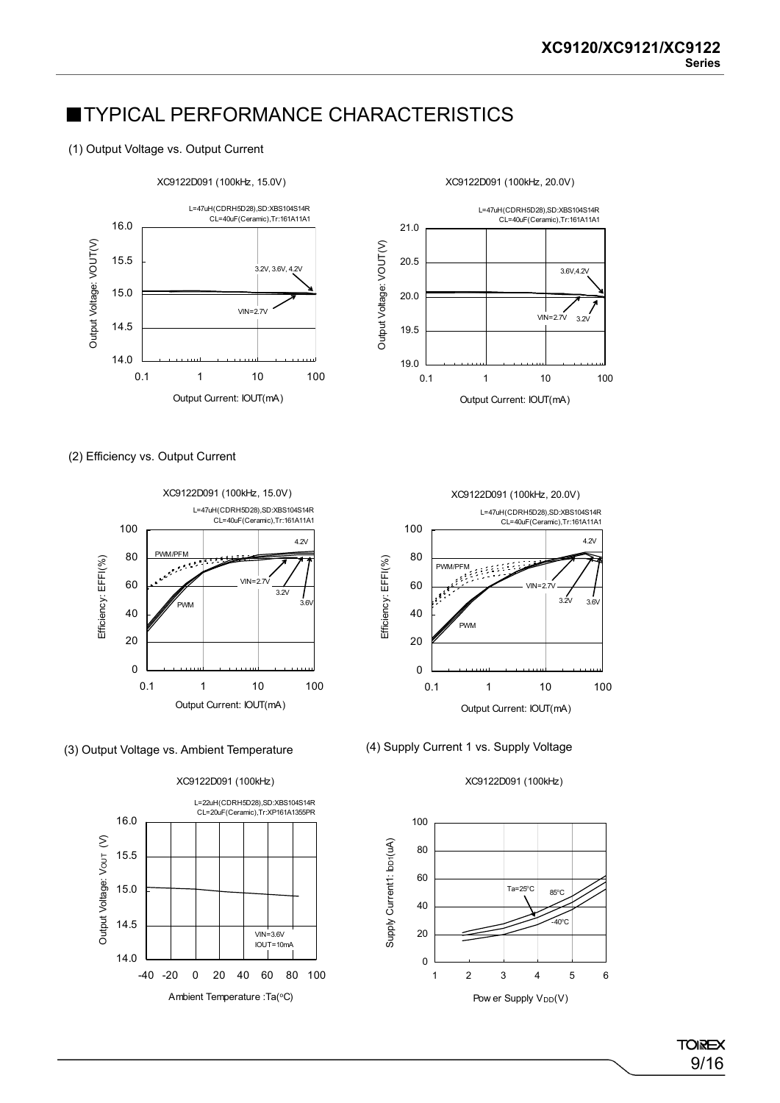### **■TYPICAL PERFORMANCE CHARACTERISTICS**

### (1) Output Voltage vs. Output Current



(2) Efficiency vs. Output Current





XC9122D091 (100kHz)









**TOREX** 9/16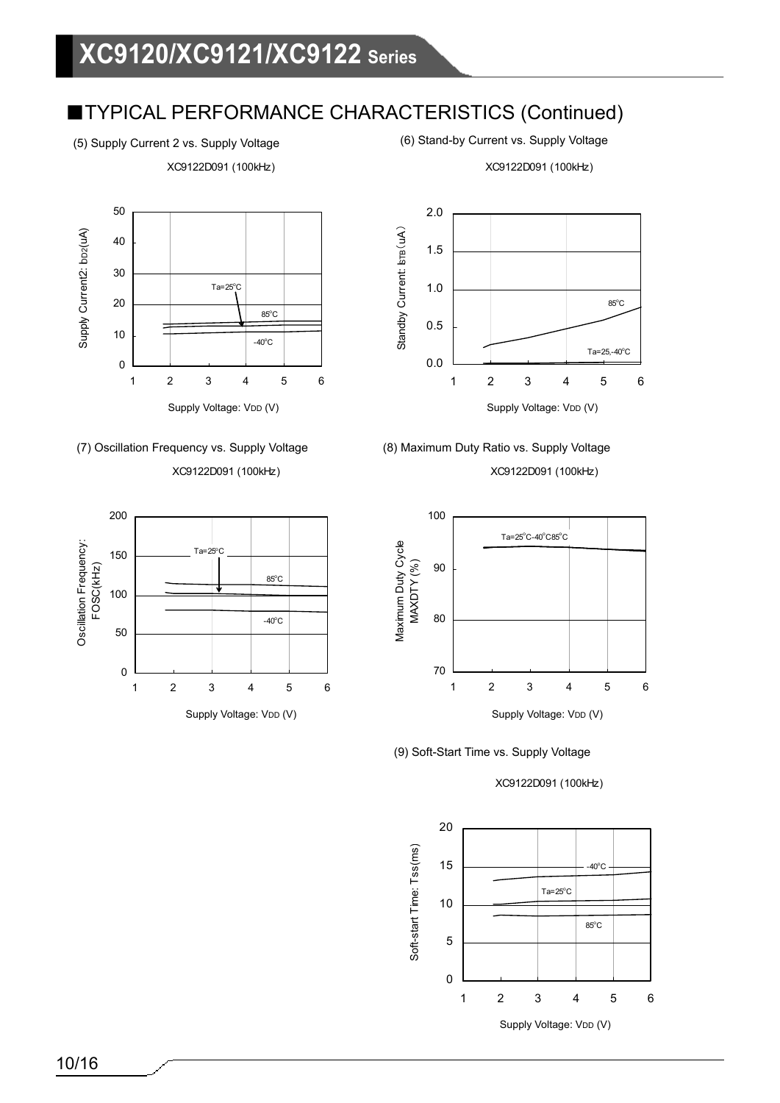XC9122D091 (100kHz)

(5) Supply Current 2 vs. Supply Voltage (6) Stand-by Current vs. Supply Voltage

XC9122D091 (100kHz)











XC9122D091 (100kHz)



(9) Soft-Start Time vs. Supply Voltage

XC9122D091 (100kHz)

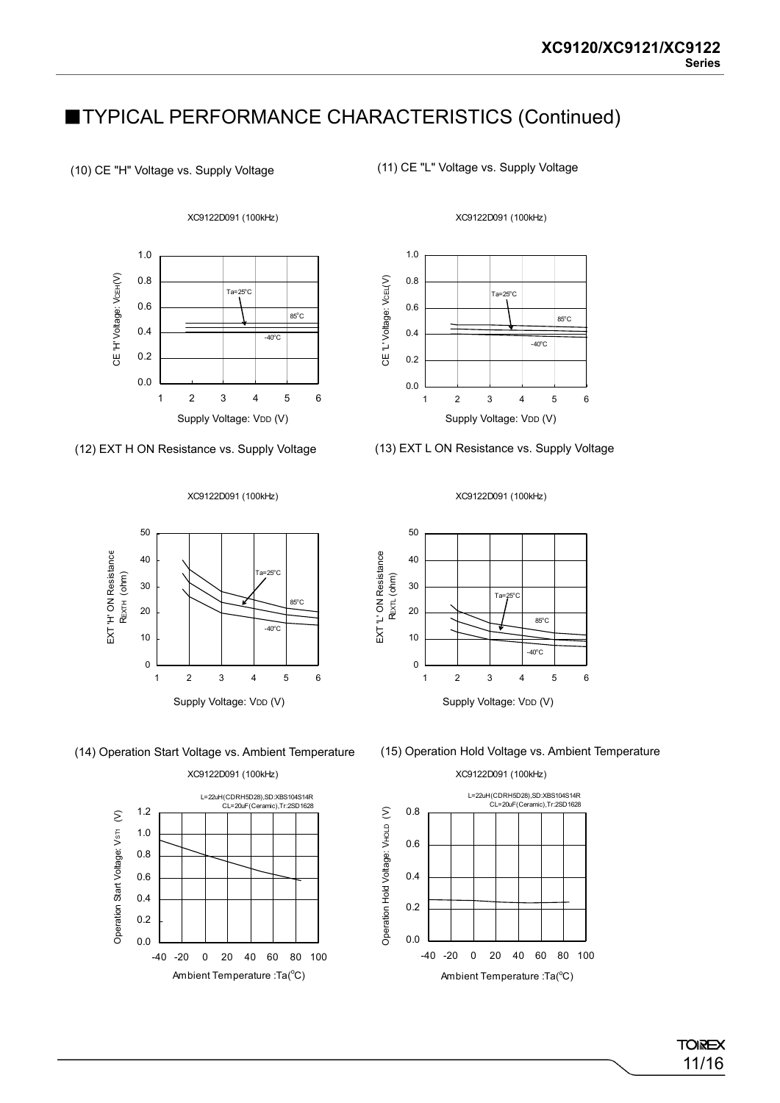(10) CE "H" Voltage vs. Supply Voltage

CE 'H' Voltage: VCEH(V)

CE'H' Voltage: VcEH(V)

(11) CE "L" Voltage vs. Supply Voltage



XC9122D091 (100kHz)

0.0 123456

Supply Voltage: VDD (V)

### (12) EXT H ON Resistance vs. Supply Voltage

# XC9122D091 (100kHz)



(13) EXT L ON Resistance vs. Supply Voltage

XC9122D091 (100kHz)





XC9122D091 (100kHz)



(14) Operation Start Voltage vs. Ambient Temperature (15) Operation Hold Voltage vs. Ambient Temperature

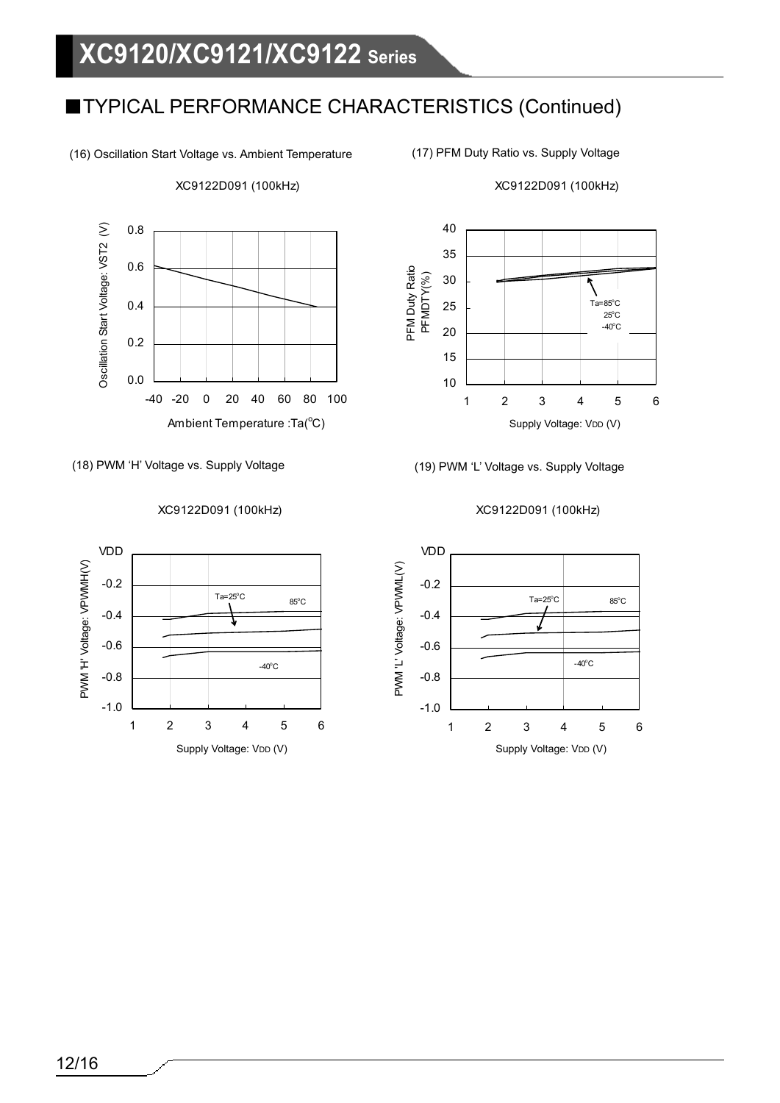(16) Oscillation Start Voltage vs. Ambient Temperature

Oscillation Start Voltage: VST2 (V) 0.8 Oscillation Start Voltage: VST2 (V) 0.6 0.4 0.2 0.0 -40 -20 0 20 40 60 80 100 Ambient Temperature :Ta(°C)

XC9122D091 (100kHz)

(18) PWM 'H' Voltage vs. Supply Voltage (19) PWM 'L' Voltage vs. Supply Voltage

### XC9122D091 (100kHz)



XC9122D091 (100kHz)



### XC9122D091 (100kHz)



<sup>(17)</sup> PFM Duty Ratio vs. Supply Voltage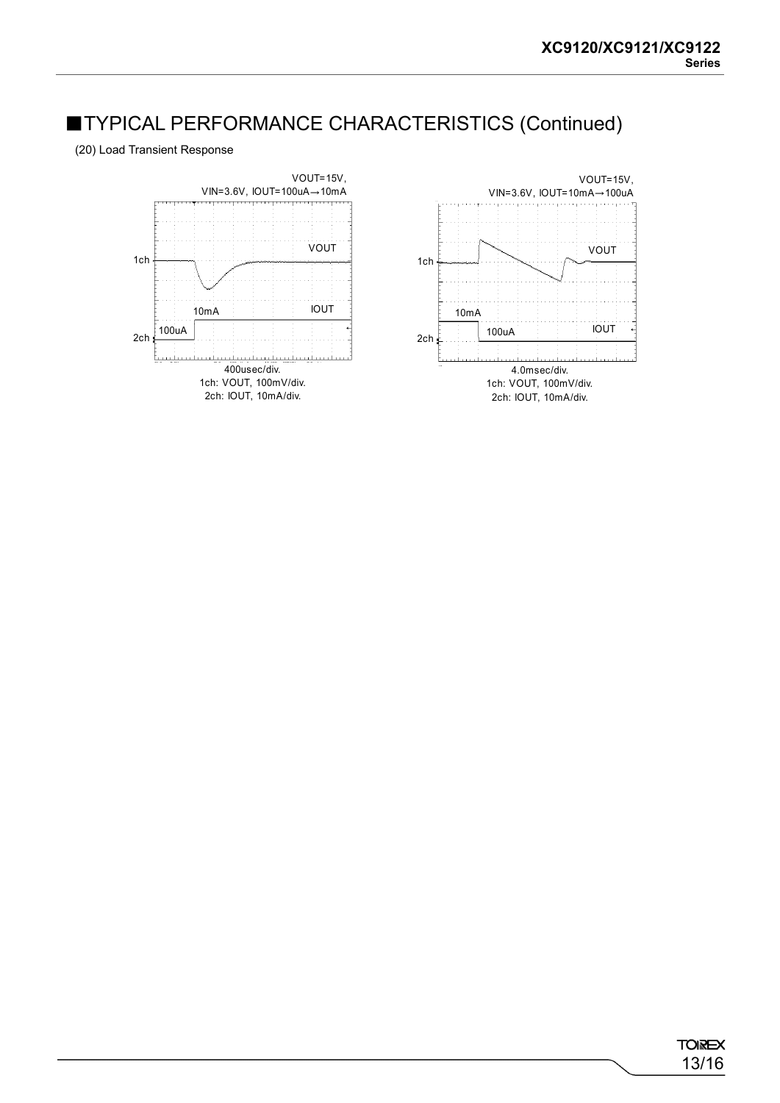(20) Load Transient Response

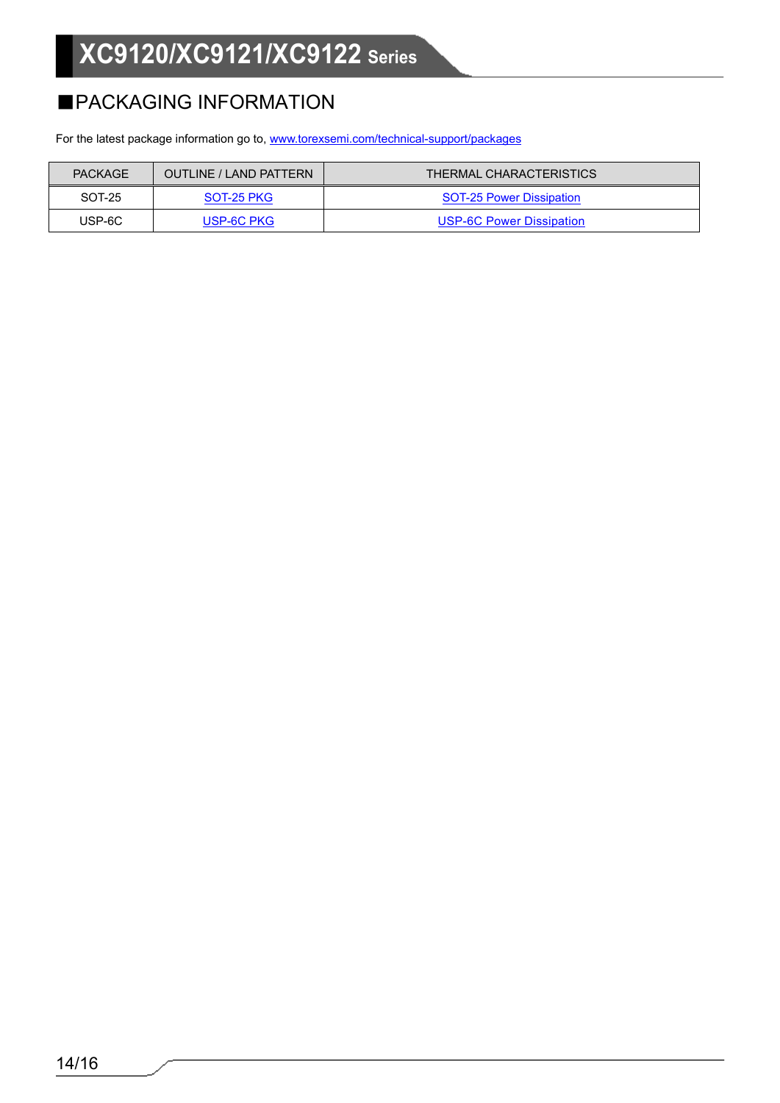# **XC9120/XC9121/XC9122 Series**

# ■PACKAGING INFORMATION

For the latest package information go to, [www.torexsemi.com/technical-support/packages](https://www.torexsemi.com/technical-support/packages/)

| <b>PACKAGE</b> | <b>OUTLINE / LAND PATTERN</b> | THERMAL CHARACTERISTICS         |
|----------------|-------------------------------|---------------------------------|
| SOT-25         | SOT-25 PKG                    | <b>SOT-25 Power Dissipation</b> |
| USP-6C         | USP-6C PKG                    | USP-6C Power Dissipation        |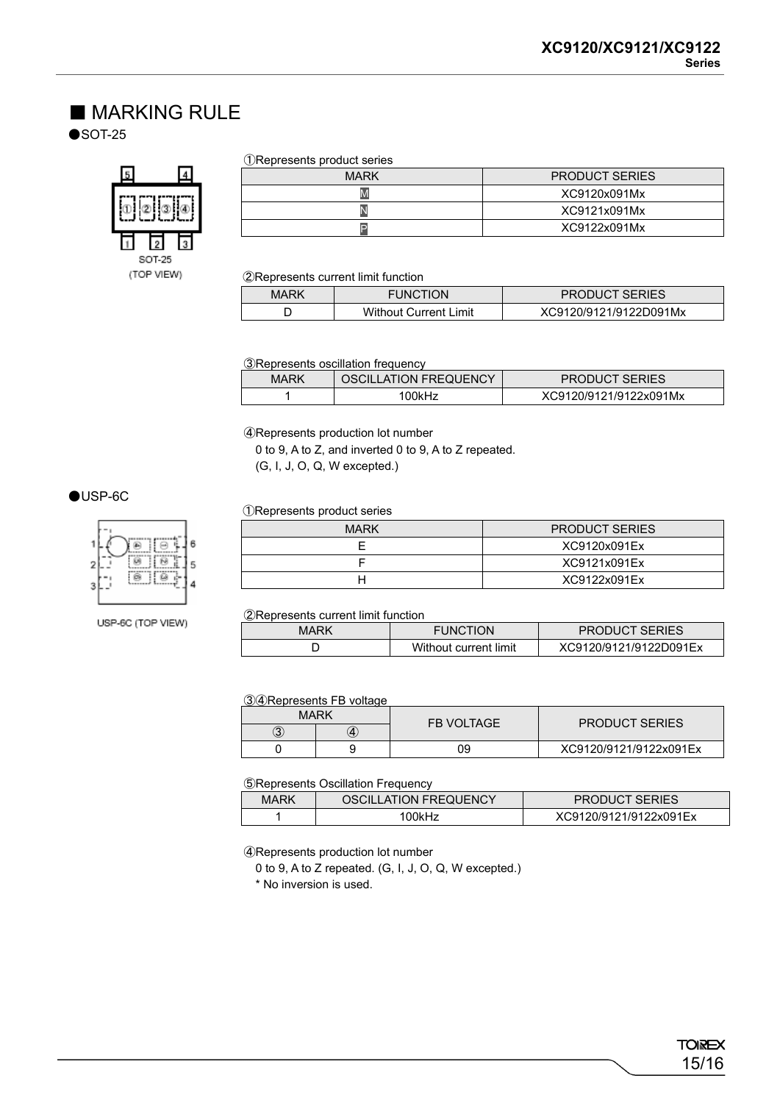### ■ MARKING RULE

 $\bullet$ SOT-25



#### ①Represents product series

| MARK | <b>PRODUCT SERIES</b> |
|------|-----------------------|
| IV   | XC9120x091Mx          |
|      | XC9121x091Mx          |
|      | XC9122x091Mx          |

②Represents current limit function

| <b>MARK</b> | <b>FUNCTION</b>              | <b>PRODUCT SERIES</b>  |
|-------------|------------------------------|------------------------|
|             | <b>Without Current Limit</b> | XC9120/9121/9122D091Mx |

③Represents oscillation frequency

| MARK | OSCILLATION FREQUENCY | <b>PRODUCT SERIES</b>  |
|------|-----------------------|------------------------|
|      | 00kHz                 | XC9120/9121/9122x091Mx |

④Represents production lot number

0 to 9, A to Z, and inverted 0 to 9, A to Z repeated.

(G, I, J, O, Q, W excepted.)

### ●USP-6C



USP-6C (TOP VIEW)

#### ①Represents product series

| <b>MARK</b> | <b>PRODUCT SERIES</b> |
|-------------|-----------------------|
|             | XC9120x091Ex          |
|             | XC9121x091Ex          |
| н           | XC9122x091Ex          |

②Represents current limit function

| -    |                       |                        |
|------|-----------------------|------------------------|
| MARK | <b>FUNCTION</b>       | <b>PRODUCT SERIES</b>  |
|      | Without current limit | XC9120/9121/9122D091Ex |

③④Represents FB voltage

| MARK |   | <b>FB VOLTAGE</b> | <b>PRODUCT SERIES</b>  |
|------|---|-------------------|------------------------|
| 3    | 4 |                   |                        |
|      |   | 09                | XC9120/9121/9122x091Ex |

⑤Represents Oscillation Frequency

| MARK | OSCILLATION FREQUENCY | <b>PRODUCT SERIES</b>  |
|------|-----------------------|------------------------|
|      | 00kHz                 | XC9120/9121/9122x091Ex |

④Represents production lot number

0 to 9, A to Z repeated. (G, I, J, O, Q, W excepted.)

\* No inversion is used.